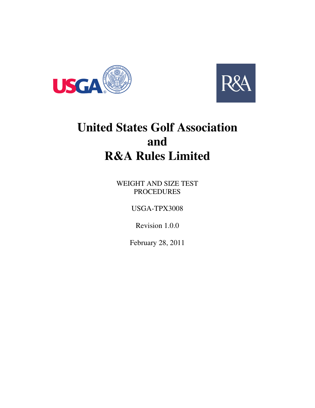



# **United States Golf Association and R&A Rules Limited**

WEIGHT AND SIZE TEST PROCEDURES

USGA-TPX3008

Revision 1.0.0

February 28, 2011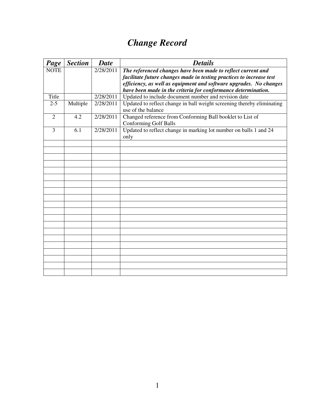## *Change Record*

| Page           | <b>Section</b> | <b>Date</b> | <b>Details</b>                                                                               |
|----------------|----------------|-------------|----------------------------------------------------------------------------------------------|
| <b>NOTE</b>    |                | 2/28/2011   | The referenced changes have been made to reflect current and                                 |
|                |                |             | facilitate future changes made in testing practices to increase test                         |
|                |                |             | efficiency, as well as equipment and software upgrades. No changes                           |
|                |                |             | have been made in the criteria for conformance determination.                                |
| Title          |                | 2/28/2011   | Updated to include document number and revision date                                         |
| $2 - 5$        | Multiple       | 2/28/2011   | Updated to reflect change in ball weight screening thereby eliminating<br>use of the balance |
| $\overline{2}$ | 4.2            | 2/28/2011   | Changed reference from Conforming Ball booklet to List of<br><b>Conforming Golf Balls</b>    |
| 3              | 6.1            | 2/28/2011   | Updated to reflect change in marking lot number on balls 1 and 24<br>only                    |
|                |                |             |                                                                                              |
|                |                |             |                                                                                              |
|                |                |             |                                                                                              |
|                |                |             |                                                                                              |
|                |                |             |                                                                                              |
|                |                |             |                                                                                              |
|                |                |             |                                                                                              |
|                |                |             |                                                                                              |
|                |                |             |                                                                                              |
|                |                |             |                                                                                              |
|                |                |             |                                                                                              |
|                |                |             |                                                                                              |
|                |                |             |                                                                                              |
|                |                |             |                                                                                              |
|                |                |             |                                                                                              |
|                |                |             |                                                                                              |
|                |                |             |                                                                                              |
|                |                |             |                                                                                              |
|                |                |             |                                                                                              |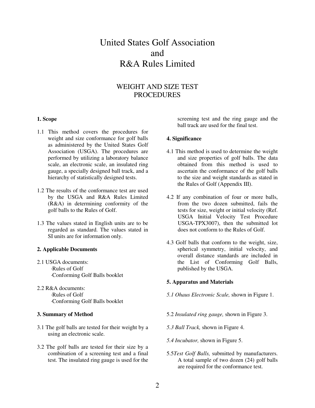### United States Golf Association and R&A Rules Limited

#### WEIGHT AND SIZE TEST PROCEDURES

#### **1. Scope**

- 1.1 This method covers the procedures for weight and size conformance for golf balls as administered by the United States Golf Association (USGA). The procedures are performed by utilizing a laboratory balance scale, an electronic scale, an insulated ring gauge, a specially designed ball track, and a hierarchy of statistically designed tests.
- 1.2 The results of the conformance test are used by the USGA and R&A Rules Limited (R&A) in determining conformity of the golf balls to the Rules of Golf.
- 1.3 The values stated in English units are to be regarded as standard. The values stated in SI units are for information only.

#### **2. Applicable Documents**

- 2.1 USGA documents: ·Rules of Golf ·Conforming Golf Balls booklet
- 2.2 R&A documents: ·Rules of Golf ·Conforming Golf Balls booklet

#### **3. Summary of Method**

- 3.1 The golf balls are tested for their weight by a using an electronic scale.
- 3.2 The golf balls are tested for their size by a combination of a screening test and a final test. The insulated ring gauge is used for the

screening test and the ring gauge and the ball track are used for the final test.

#### **4. Significance**

- 4.1 This method is used to determine the weight and size properties of golf balls. The data obtained from this method is used to ascertain the conformance of the golf balls to the size and weight standards as stated in the Rules of Golf (Appendix III).
- 4.2 If any combination of four or more balls, from the two dozen submitted, fails the tests for size, weight or initial velocity (Ref. USGA Initial Velocity Test Procedure USGA-TPX3007), then the submitted lot does not conform to the Rules of Golf.
- 4.3 Golf balls that conform to the weight, size, spherical symmetry, initial velocity, and overall distance standards are included in the List of Conforming Golf Balls, published by the USGA.

#### **5. Apparatus and Materials**

- *5.1 Ohaus Electronic Scale,* shown in Figure 1.
- 5.2 *Insulated ring gauge,* shown in Figure 3.
- *5.3 Ball Track,* shown in Figure 4.
- *5.4 Incubator,* shown in Figure 5.
- 5.5*Test Golf Balls,* submitted by manufacturers. A total sample of two dozen (24) golf balls are required for the conformance test.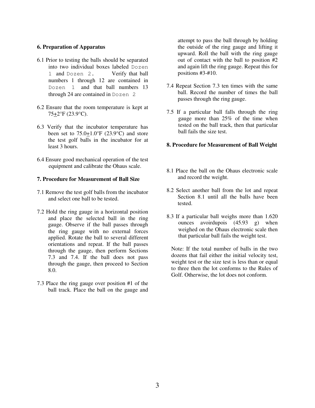#### **6. Preparation of Apparatus**

- 6.1 Prior to testing the balls should be separated into two individual boxes labeled Dozen 1 and Dozen 2. Verify that ball numbers 1 through 12 are contained in Dozen 1 and that ball numbers 13 through 24 are contained in Dozen 2
- 6.2 Ensure that the room temperature is kept at 75+2°F (23.9°C).
- 6.3 Verify that the incubator temperature has been set to  $75.0+1.0^{\circ}$  F  $(23.9^{\circ}$ C) and store the test golf balls in the incubator for at least 3 hours.
- 6.4 Ensure good mechanical operation of the test equipment and calibrate the Ohaus scale.

#### **7. Procedure for Measurement of Ball Size**

- 7.1 Remove the test golf balls from the incubator and select one ball to be tested.
- 7.2 Hold the ring gauge in a horizontal position and place the selected ball in the ring gauge. Observe if the ball passes through the ring gauge with no external forces applied. Rotate the ball to several different orientations and repeat. If the ball passes through the gauge, then perform Sections 7.3 and 7.4. If the ball does not pass through the gauge, then proceed to Section 8.0.
- 7.3 Place the ring gauge over position #1 of the ball track. Place the ball on the gauge and

attempt to pass the ball through by holding the outside of the ring gauge and lifting it upward. Roll the ball with the ring gauge out of contact with the ball to position #2 and again lift the ring gauge. Repeat this for positions #3-#10.

- 7.4 Repeat Section 7.3 ten times with the same ball. Record the number of times the ball passes through the ring gauge.
- 7.5 If a particular ball falls through the ring gauge more than 25% of the time when tested on the ball track, then that particular ball fails the size test.

#### **8. Procedure for Measurement of Ball Weight**

- 8.1 Place the ball on the Ohaus electronic scale and record the weight.
- 8.2 Select another ball from the lot and repeat Section 8.1 until all the balls have been tested.
- 8.3 If a particular ball weighs more than 1.620 ounces avoirdupois (45.93 g) when weighed on the Ohaus electronic scale then that particular ball fails the weight test.

Note: If the total number of balls in the two dozens that fail either the initial velocity test, weight test or the size test is less than or equal to three then the lot conforms to the Rules of Golf. Otherwise, the lot does not conform.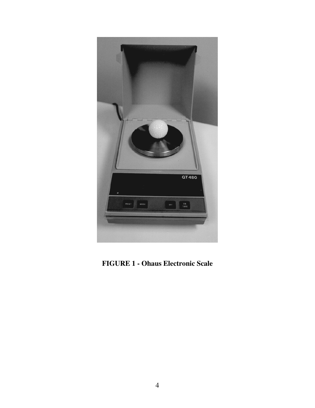

**FIGURE 1 - Ohaus Electronic Scale**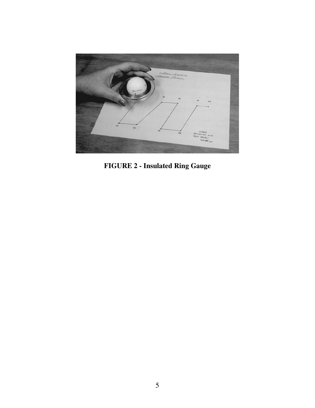

**FIGURE 2 - Insulated Ring Gauge**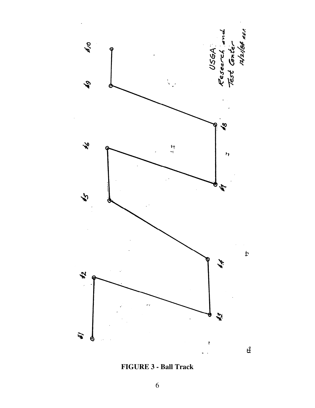